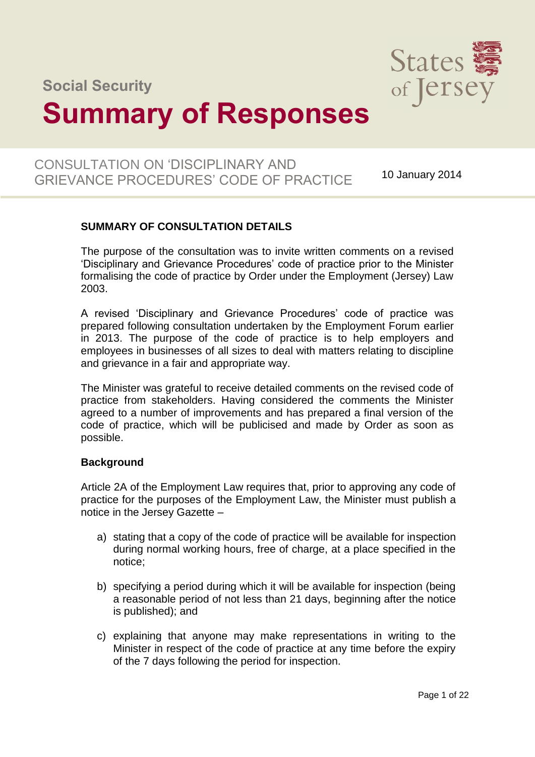**Social Security** 

# **Summary of Responses**

# CONSULTATION ON 'DISCIPLINARY AND GRIEVANCE PROCEDURES' CODE OF PRACTICE 10 January 2014

# **SUMMARY OF CONSULTATION DETAILS**

The purpose of the consultation was to invite written comments on a revised 'Disciplinary and Grievance Procedures' code of practice prior to the Minister formalising the code of practice by Order under the Employment (Jersey) Law 2003.

A revised 'Disciplinary and Grievance Procedures' code of practice was prepared following consultation undertaken by the Employment Forum earlier in 2013. The purpose of the code of practice is to help employers and employees in businesses of all sizes to deal with matters relating to discipline and grievance in a fair and appropriate way.

The Minister was grateful to receive detailed comments on the revised code of practice from stakeholders. Having considered the comments the Minister agreed to a number of improvements and has prepared a final version of the code of practice, which will be publicised and made by Order as soon as possible.

#### **Background**

Article 2A of the Employment Law requires that, prior to approving any code of practice for the purposes of the Employment Law, the Minister must publish a notice in the Jersey Gazette –

- a) stating that a copy of the code of practice will be available for inspection during normal working hours, free of charge, at a place specified in the notice;
- b) specifying a period during which it will be available for inspection (being a reasonable period of not less than 21 days, beginning after the notice is published); and
- c) explaining that anyone may make representations in writing to the Minister in respect of the code of practice at any time before the expiry of the 7 days following the period for inspection.

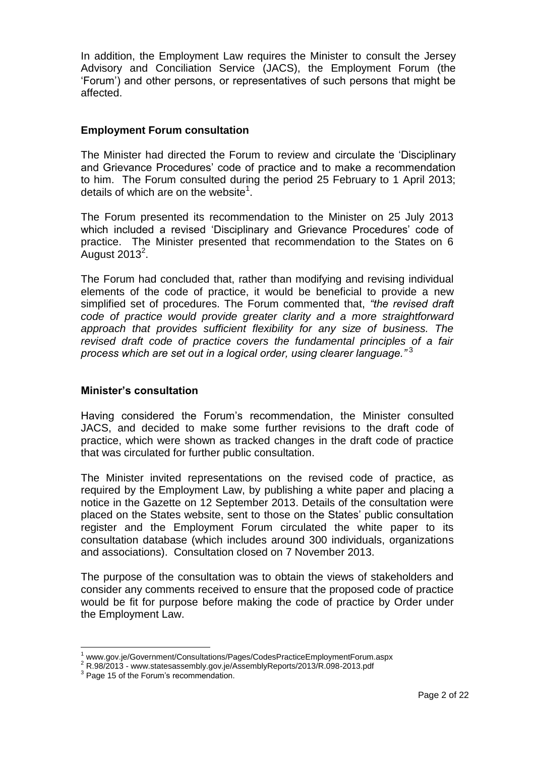In addition, the Employment Law requires the Minister to consult the Jersey Advisory and Conciliation Service (JACS), the Employment Forum (the 'Forum') and other persons, or representatives of such persons that might be affected.

#### **Employment Forum consultation**

The Minister had directed the Forum to review and circulate the 'Disciplinary and Grievance Procedures' code of practice and to make a recommendation to him. The Forum consulted during the period 25 February to 1 April 2013; details of which are on the website<sup>1</sup>.

The Forum presented its recommendation to the Minister on 25 July 2013 which included a revised 'Disciplinary and Grievance Procedures' code of practice. The Minister presented that recommendation to the States on 6 .<br>August 2013 $^2$ .

The Forum had concluded that, rather than modifying and revising individual elements of the code of practice, it would be beneficial to provide a new simplified set of procedures. The Forum commented that, *"the revised draft code of practice would provide greater clarity and a more straightforward approach that provides sufficient flexibility for any size of business. The revised draft code of practice covers the fundamental principles of a fair process which are set out in a logical order, using clearer language."* <sup>3</sup>

#### **Minister's consultation**

Having considered the Forum's recommendation, the Minister consulted JACS, and decided to make some further revisions to the draft code of practice, which were shown as tracked changes in the draft code of practice that was circulated for further public consultation.

The Minister invited representations on the revised code of practice, as required by the Employment Law, by publishing a white paper and placing a notice in the Gazette on 12 September 2013. Details of the consultation were placed on the States website, sent to those on the States' public consultation register and the Employment Forum circulated the white paper to its consultation database (which includes around 300 individuals, organizations and associations). Consultation closed on 7 November 2013.

The purpose of the consultation was to obtain the views of stakeholders and consider any comments received to ensure that the proposed code of practice would be fit for purpose before making the code of practice by Order under the Employment Law.

 $\overline{a}$ 

<sup>1</sup> [www.gov.je/Government/Consultations/Pages/CodesPracticeEmploymentForum.aspx](http://www.gov.je/Government/Consultations/Pages/CodesPracticeEmploymentForum.aspx)

<sup>2</sup> R.98/2013 - [www.statesassembly.gov.je/AssemblyReports/2013/R.098-2013.pdf](http://www.statesassembly.gov.je/AssemblyReports/2013/R.098-2013.pdf)

<sup>&</sup>lt;sup>3</sup> Page 15 of the Forum's recommendation.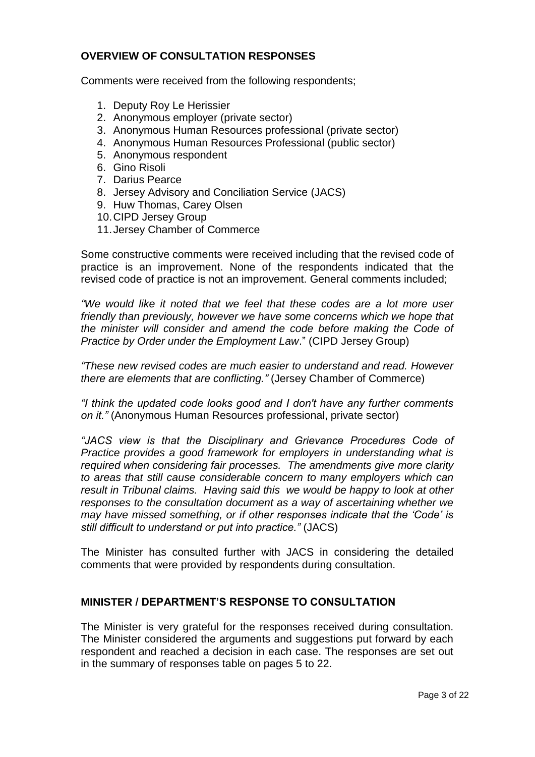### **OVERVIEW OF CONSULTATION RESPONSES**

Comments were received from the following respondents;

- 1. Deputy Roy Le Herissier
- 2. Anonymous employer (private sector)
- 3. Anonymous Human Resources professional (private sector)
- 4. Anonymous Human Resources Professional (public sector)
- 5. Anonymous respondent
- 6. Gino Risoli
- 7. Darius Pearce
- 8. Jersey Advisory and Conciliation Service (JACS)
- 9. Huw Thomas, Carey Olsen
- 10.CIPD Jersey Group
- 11.Jersey Chamber of Commerce

Some constructive comments were received including that the revised code of practice is an improvement. None of the respondents indicated that the revised code of practice is not an improvement. General comments included;

*"We would like it noted that we feel that these codes are a lot more user friendly than previously, however we have some concerns which we hope that the minister will consider and amend the code before making the Code of Practice by Order under the Employment Law*." (CIPD Jersey Group)

*"These new revised codes are much easier to understand and read. However there are elements that are conflicting."* (Jersey Chamber of Commerce)

*"I think the updated code looks good and I don't have any further comments on it."* (Anonymous Human Resources professional, private sector)

*"JACS view is that the Disciplinary and Grievance Procedures Code of Practice provides a good framework for employers in understanding what is required when considering fair processes. The amendments give more clarity to areas that still cause considerable concern to many employers which can result in Tribunal claims. Having said this we would be happy to look at other responses to the consultation document as a way of ascertaining whether we may have missed something, or if other responses indicate that the 'Code' is still difficult to understand or put into practice."* (JACS)

The Minister has consulted further with JACS in considering the detailed comments that were provided by respondents during consultation.

#### **MINISTER / DEPARTMENT'S RESPONSE TO CONSULTATION**

The Minister is very grateful for the responses received during consultation. The Minister considered the arguments and suggestions put forward by each respondent and reached a decision in each case. The responses are set out in the summary of responses table on pages 5 to 22.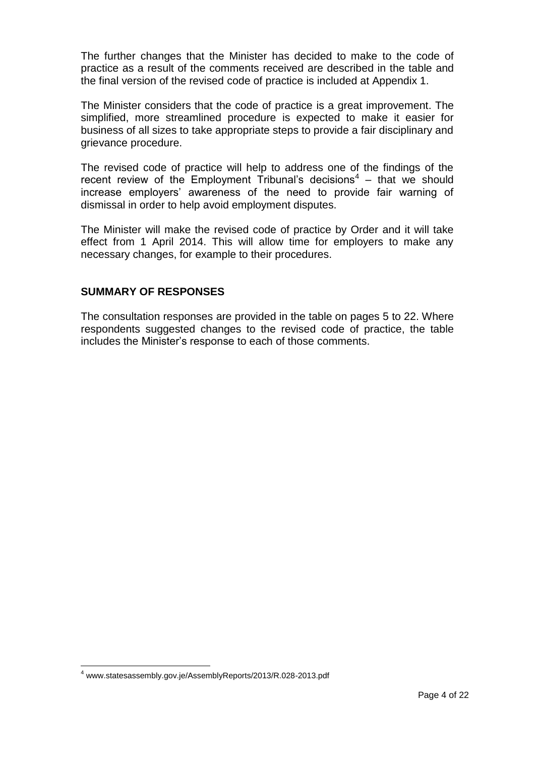The further changes that the Minister has decided to make to the code of practice as a result of the comments received are described in the table and the final version of the revised code of practice is included at Appendix 1.

The Minister considers that the code of practice is a great improvement. The simplified, more streamlined procedure is expected to make it easier for business of all sizes to take appropriate steps to provide a fair disciplinary and grievance procedure.

The revised code of practice will help to address one of the findings of the recent review of the Employment Tribunal's decisions<sup>4</sup> – that we should increase employers' awareness of the need to provide fair warning of dismissal in order to help avoid employment disputes.

The Minister will make the revised code of practice by Order and it will take effect from 1 April 2014. This will allow time for employers to make any necessary changes, for example to their procedures.

## **SUMMARY OF RESPONSES**

The consultation responses are provided in the table on pages 5 to 22. Where respondents suggested changes to the revised code of practice, the table includes the Minister's response to each of those comments.

 $\overline{a}$ 

<sup>4</sup> [www.statesassembly.gov.je/AssemblyReports/2013/R.028-2013.pdf](http://www.statesassembly.gov.je/AssemblyReports/2013/R.028-2013.pdf)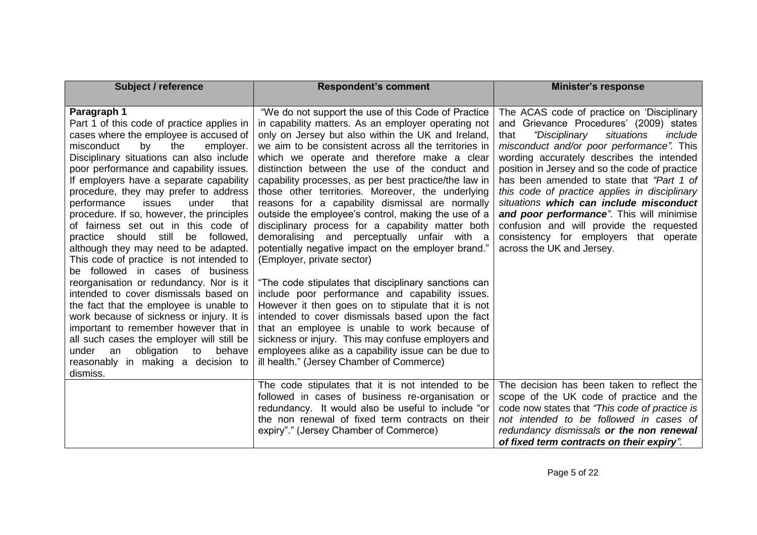| <b>Subject / reference</b>                                                                                                                                                                                                                                                                                                                                                                                                                                                                                                                                                                                                                                                                                                                                                                                                                                                                                                                                                           | <b>Respondent's comment</b>                                                                                                                                                                                                                                                                                                                                                                                                                                                                                                                                                                                                                                                                                                                                                                                                                                                                                                                                                                                                                                                                                                                                                  | <b>Minister's response</b>                                                                                                                                                                                                                                                                                                                                                                                                                                                                                                                                                                          |
|--------------------------------------------------------------------------------------------------------------------------------------------------------------------------------------------------------------------------------------------------------------------------------------------------------------------------------------------------------------------------------------------------------------------------------------------------------------------------------------------------------------------------------------------------------------------------------------------------------------------------------------------------------------------------------------------------------------------------------------------------------------------------------------------------------------------------------------------------------------------------------------------------------------------------------------------------------------------------------------|------------------------------------------------------------------------------------------------------------------------------------------------------------------------------------------------------------------------------------------------------------------------------------------------------------------------------------------------------------------------------------------------------------------------------------------------------------------------------------------------------------------------------------------------------------------------------------------------------------------------------------------------------------------------------------------------------------------------------------------------------------------------------------------------------------------------------------------------------------------------------------------------------------------------------------------------------------------------------------------------------------------------------------------------------------------------------------------------------------------------------------------------------------------------------|-----------------------------------------------------------------------------------------------------------------------------------------------------------------------------------------------------------------------------------------------------------------------------------------------------------------------------------------------------------------------------------------------------------------------------------------------------------------------------------------------------------------------------------------------------------------------------------------------------|
| Paragraph 1<br>Part 1 of this code of practice applies in<br>cases where the employee is accused of<br>misconduct<br>by<br>the<br>employer.<br>Disciplinary situations can also include<br>poor performance and capability issues.<br>If employers have a separate capability<br>procedure, they may prefer to address<br>performance<br>issues<br>under<br>that<br>procedure. If so, however, the principles<br>of fairness set out in this code of<br>practice should still<br>be followed,<br>although they may need to be adapted.<br>This code of practice is not intended to<br>be followed in cases of business<br>reorganisation or redundancy. Nor is it<br>intended to cover dismissals based on<br>the fact that the employee is unable to<br>work because of sickness or injury. It is<br>important to remember however that in<br>all such cases the employer will still be<br>an<br>obligation to<br>behave<br>under<br>reasonably in making a decision to<br>dismiss. | "We do not support the use of this Code of Practice<br>in capability matters. As an employer operating not<br>only on Jersey but also within the UK and Ireland,<br>we aim to be consistent across all the territories in<br>which we operate and therefore make a clear<br>distinction between the use of the conduct and<br>capability processes, as per best practice/the law in<br>those other territories. Moreover, the underlying<br>reasons for a capability dismissal are normally<br>outside the employee's control, making the use of a<br>disciplinary process for a capability matter both<br>demoralising and perceptually unfair with a<br>potentially negative impact on the employer brand."<br>(Employer, private sector)<br>"The code stipulates that disciplinary sanctions can<br>include poor performance and capability issues.<br>However it then goes on to stipulate that it is not<br>intended to cover dismissals based upon the fact<br>that an employee is unable to work because of<br>sickness or injury. This may confuse employers and<br>employees alike as a capability issue can be due to<br>ill health." (Jersey Chamber of Commerce) | The ACAS code of practice on 'Disciplinary<br>and Grievance Procedures' (2009) states<br><i>"Disciplinary</i><br>situations<br>include<br>that<br>misconduct and/or poor performance". This<br>wording accurately describes the intended<br>position in Jersey and so the code of practice<br>has been amended to state that "Part 1 of<br>this code of practice applies in disciplinary<br>situations which can include misconduct<br>and poor performance". This will minimise<br>confusion and will provide the requested<br>consistency for employers that operate<br>across the UK and Jersey. |
|                                                                                                                                                                                                                                                                                                                                                                                                                                                                                                                                                                                                                                                                                                                                                                                                                                                                                                                                                                                      | The code stipulates that it is not intended to be<br>followed in cases of business re-organisation or<br>redundancy. It would also be useful to include "or<br>the non renewal of fixed term contracts on their<br>expiry"." (Jersey Chamber of Commerce)                                                                                                                                                                                                                                                                                                                                                                                                                                                                                                                                                                                                                                                                                                                                                                                                                                                                                                                    | The decision has been taken to reflect the<br>scope of the UK code of practice and the<br>code now states that "This code of practice is<br>not intended to be followed in cases of<br>redundancy dismissals or the non renewal<br>of fixed term contracts on their expiry".                                                                                                                                                                                                                                                                                                                        |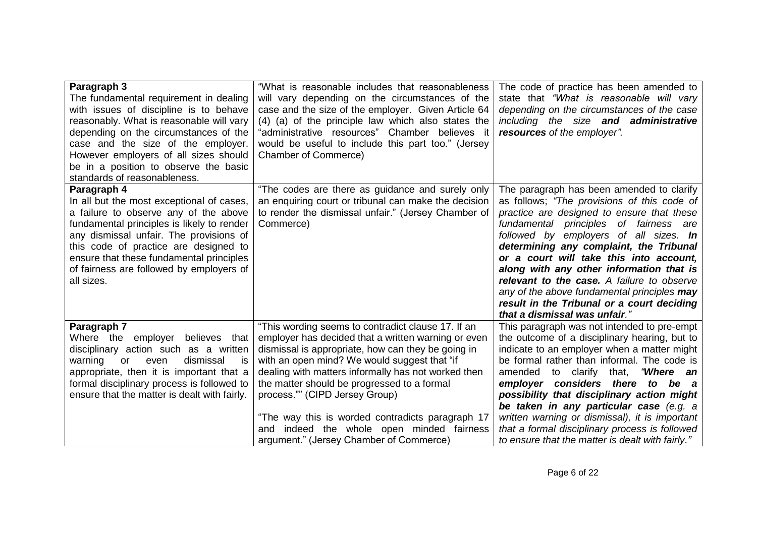| Paragraph 3<br>The fundamental requirement in dealing<br>with issues of discipline is to behave<br>reasonably. What is reasonable will vary<br>depending on the circumstances of the<br>case and the size of the employer.<br>However employers of all sizes should<br>be in a position to observe the basic<br>standards of reasonableness. | "What is reasonable includes that reasonableness<br>will vary depending on the circumstances of the<br>case and the size of the employer. Given Article 64<br>(4) (a) of the principle law which also states the<br>"administrative resources" Chamber believes it<br>would be useful to include this part too." (Jersey<br><b>Chamber of Commerce)</b>                                                                                                                                                | The code of practice has been amended to<br>state that "What is reasonable will vary<br>depending on the circumstances of the case<br>including the size and administrative<br>resources of the employer".                                                                                                                                                                                                                                                                                                                               |
|----------------------------------------------------------------------------------------------------------------------------------------------------------------------------------------------------------------------------------------------------------------------------------------------------------------------------------------------|--------------------------------------------------------------------------------------------------------------------------------------------------------------------------------------------------------------------------------------------------------------------------------------------------------------------------------------------------------------------------------------------------------------------------------------------------------------------------------------------------------|------------------------------------------------------------------------------------------------------------------------------------------------------------------------------------------------------------------------------------------------------------------------------------------------------------------------------------------------------------------------------------------------------------------------------------------------------------------------------------------------------------------------------------------|
| Paragraph 4<br>In all but the most exceptional of cases,<br>a failure to observe any of the above<br>fundamental principles is likely to render<br>any dismissal unfair. The provisions of<br>this code of practice are designed to<br>ensure that these fundamental principles<br>of fairness are followed by employers of<br>all sizes.    | "The codes are there as guidance and surely only<br>an enquiring court or tribunal can make the decision<br>to render the dismissal unfair." (Jersey Chamber of<br>Commerce)                                                                                                                                                                                                                                                                                                                           | The paragraph has been amended to clarify<br>as follows; "The provisions of this code of<br>practice are designed to ensure that these<br>fundamental principles of fairness are<br>followed by employers of all sizes. In<br>determining any complaint, the Tribunal<br>or a court will take this into account,<br>along with any other information that is<br>relevant to the case. A failure to observe<br>any of the above fundamental principles may<br>result in the Tribunal or a court deciding<br>that a dismissal was unfair." |
| Paragraph 7<br>Where the<br>employer<br>believes that<br>disciplinary action such as a written<br>dismissal<br>is<br>warning<br><b>or</b><br>even<br>appropriate, then it is important that a<br>formal disciplinary process is followed to<br>ensure that the matter is dealt with fairly.                                                  | "This wording seems to contradict clause 17. If an<br>employer has decided that a written warning or even<br>dismissal is appropriate, how can they be going in<br>with an open mind? We would suggest that "if<br>dealing with matters informally has not worked then<br>the matter should be progressed to a formal<br>process."" (CIPD Jersey Group)<br>"The way this is worded contradicts paragraph 17<br>indeed the whole open minded fairness<br>and<br>argument." (Jersey Chamber of Commerce) | This paragraph was not intended to pre-empt<br>the outcome of a disciplinary hearing, but to<br>indicate to an employer when a matter might<br>be formal rather than informal. The code is<br>to clarify that, "Where an<br>amended<br>employer considers there to be a<br>possibility that disciplinary action might<br>be taken in any particular case (e.g. a<br>written warning or dismissal), it is important<br>that a formal disciplinary process is followed<br>to ensure that the matter is dealt with fairly."                 |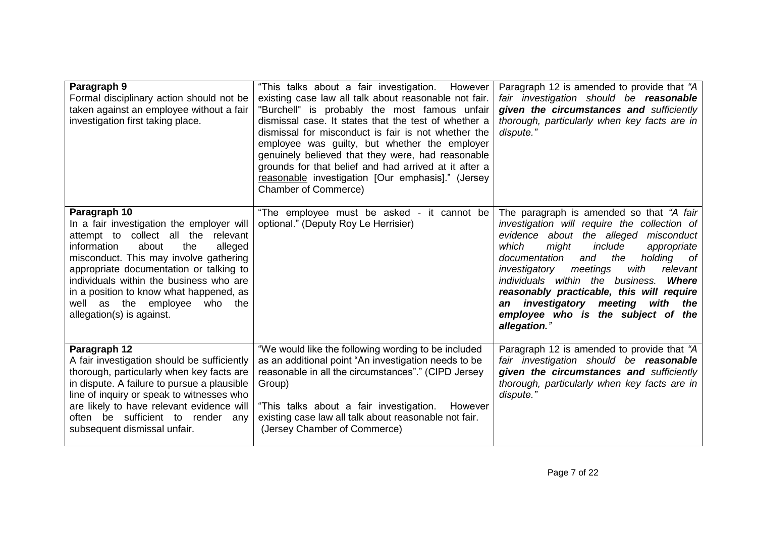| Paragraph 9<br>Formal disciplinary action should not be<br>taken against an employee without a fair<br>investigation first taking place.                                                                                                                                                                                                                                                 | "This talks about a fair investigation. However<br>existing case law all talk about reasonable not fair.<br>"Burchell" is probably the most famous unfair<br>dismissal case. It states that the test of whether a<br>dismissal for misconduct is fair is not whether the<br>employee was guilty, but whether the employer<br>genuinely believed that they were, had reasonable<br>grounds for that belief and had arrived at it after a<br>reasonable investigation [Our emphasis]." (Jersey<br><b>Chamber of Commerce)</b> | Paragraph 12 is amended to provide that "A<br>fair investigation should be reasonable<br>given the circumstances and sufficiently<br>thorough, particularly when key facts are in<br>dispute."                                                                                                                                                                                                                                                                                |
|------------------------------------------------------------------------------------------------------------------------------------------------------------------------------------------------------------------------------------------------------------------------------------------------------------------------------------------------------------------------------------------|-----------------------------------------------------------------------------------------------------------------------------------------------------------------------------------------------------------------------------------------------------------------------------------------------------------------------------------------------------------------------------------------------------------------------------------------------------------------------------------------------------------------------------|-------------------------------------------------------------------------------------------------------------------------------------------------------------------------------------------------------------------------------------------------------------------------------------------------------------------------------------------------------------------------------------------------------------------------------------------------------------------------------|
| Paragraph 10<br>In a fair investigation the employer will<br>attempt to collect all the<br>relevant<br>information<br>about<br>the<br>alleged<br>misconduct. This may involve gathering<br>appropriate documentation or talking to<br>individuals within the business who are<br>in a position to know what happened, as<br>well as the employee<br>who the<br>allegation(s) is against. | "The employee must be asked - it cannot be<br>optional." (Deputy Roy Le Herrisier)                                                                                                                                                                                                                                                                                                                                                                                                                                          | The paragraph is amended so that "A fair<br>investigation will require the collection of<br>evidence about the alleged misconduct<br>include<br>which<br>might<br>appropriate<br>documentation<br>the<br>and<br>holding of<br>relevant<br>meetings<br>with<br>investigatory<br>individuals within the business.<br><b>Where</b><br>reasonably practicable, this will require<br>investigatory meeting<br>with the<br>an<br>employee who is the subject of the<br>allegation." |
| Paragraph 12<br>A fair investigation should be sufficiently<br>thorough, particularly when key facts are<br>in dispute. A failure to pursue a plausible<br>line of inquiry or speak to witnesses who<br>are likely to have relevant evidence will<br>often be sufficient to render any<br>subsequent dismissal unfair.                                                                   | "We would like the following wording to be included<br>as an additional point "An investigation needs to be<br>reasonable in all the circumstances"." (CIPD Jersey<br>Group)<br>"This talks about a fair investigation. However<br>existing case law all talk about reasonable not fair.<br>(Jersey Chamber of Commerce)                                                                                                                                                                                                    | Paragraph 12 is amended to provide that "A<br>fair investigation should be reasonable<br>given the circumstances and sufficiently<br>thorough, particularly when key facts are in<br>dispute."                                                                                                                                                                                                                                                                                |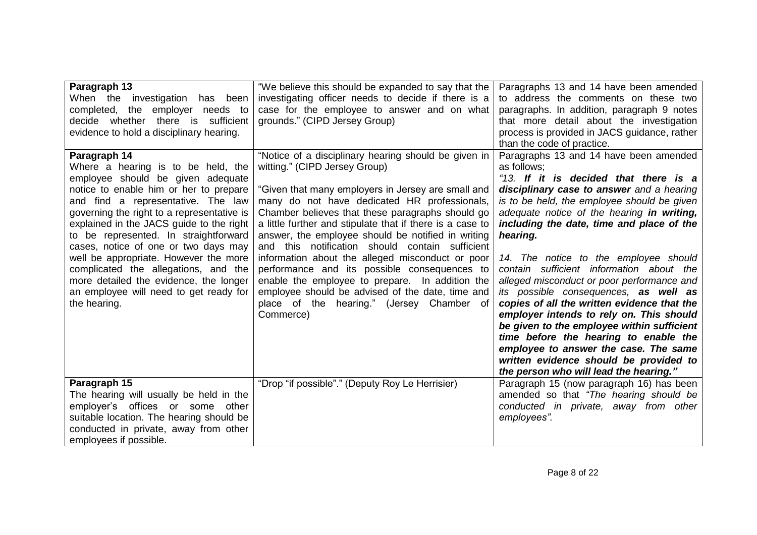| Paragraph 13<br>When the investigation<br>been<br>has<br>employer needs to<br>completed,<br>the<br>decide whether there is<br>sufficient<br>evidence to hold a disciplinary hearing.                                                                                                                                                                                                                                                                                                                                                    | "We believe this should be expanded to say that the<br>investigating officer needs to decide if there is a<br>case for the employee to answer and on what<br>grounds." (CIPD Jersey Group)                                                                                                                                                                                                                                                                                                                                                                                                                                                                                                 | Paragraphs 13 and 14 have been amended<br>to address the comments on these two<br>paragraphs. In addition, paragraph 9 notes<br>that more detail about the investigation<br>process is provided in JACS guidance, rather<br>than the code of practice.                                                                                                                                                                                                                                                                                                                                                                                                                                                                                                                                       |
|-----------------------------------------------------------------------------------------------------------------------------------------------------------------------------------------------------------------------------------------------------------------------------------------------------------------------------------------------------------------------------------------------------------------------------------------------------------------------------------------------------------------------------------------|--------------------------------------------------------------------------------------------------------------------------------------------------------------------------------------------------------------------------------------------------------------------------------------------------------------------------------------------------------------------------------------------------------------------------------------------------------------------------------------------------------------------------------------------------------------------------------------------------------------------------------------------------------------------------------------------|----------------------------------------------------------------------------------------------------------------------------------------------------------------------------------------------------------------------------------------------------------------------------------------------------------------------------------------------------------------------------------------------------------------------------------------------------------------------------------------------------------------------------------------------------------------------------------------------------------------------------------------------------------------------------------------------------------------------------------------------------------------------------------------------|
| Paragraph 14<br>Where a hearing is to be held, the<br>employee should be given adequate<br>notice to enable him or her to prepare<br>and find a representative. The law<br>governing the right to a representative is<br>explained in the JACS guide to the right<br>to be represented. In straightforward<br>cases, notice of one or two days may<br>well be appropriate. However the more<br>complicated the allegations, and the<br>more detailed the evidence, the longer<br>an employee will need to get ready for<br>the hearing. | "Notice of a disciplinary hearing should be given in<br>witting." (CIPD Jersey Group)<br>"Given that many employers in Jersey are small and<br>many do not have dedicated HR professionals,<br>Chamber believes that these paragraphs should go<br>a little further and stipulate that if there is a case to<br>answer, the employee should be notified in writing<br>and this notification should contain sufficient<br>information about the alleged misconduct or poor<br>performance and its possible consequences to<br>enable the employee to prepare. In addition the<br>employee should be advised of the date, time and<br>place of the hearing." (Jersey Chamber of<br>Commerce) | Paragraphs 13 and 14 have been amended<br>as follows;<br>"13. If it is decided that there is a<br>disciplinary case to answer and a hearing<br>is to be held, the employee should be given<br>adequate notice of the hearing in writing,<br>including the date, time and place of the<br>hearing.<br>14. The notice to the employee should<br>contain sufficient information about the<br>alleged misconduct or poor performance and<br>its possible consequences, as well as<br>copies of all the written evidence that the<br>employer intends to rely on. This should<br>be given to the employee within sufficient<br>time before the hearing to enable the<br>employee to answer the case. The same<br>written evidence should be provided to<br>the person who will lead the hearing." |
| Paragraph 15<br>The hearing will usually be held in the<br>employer's offices or some other<br>suitable location. The hearing should be<br>conducted in private, away from other<br>employees if possible.                                                                                                                                                                                                                                                                                                                              | "Drop "if possible"." (Deputy Roy Le Herrisier)                                                                                                                                                                                                                                                                                                                                                                                                                                                                                                                                                                                                                                            | Paragraph 15 (now paragraph 16) has been<br>amended so that "The hearing should be<br>conducted in private, away from other<br>employees".                                                                                                                                                                                                                                                                                                                                                                                                                                                                                                                                                                                                                                                   |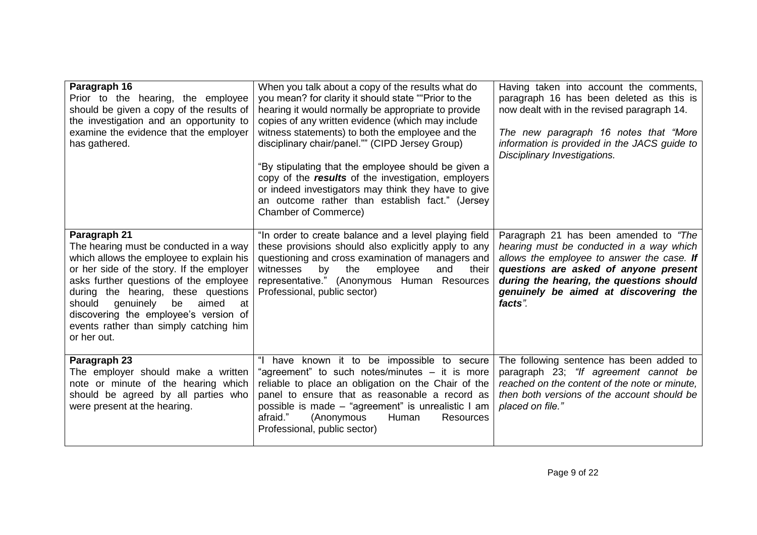| Paragraph 16<br>Prior to the hearing, the employee<br>should be given a copy of the results of<br>the investigation and an opportunity to<br>examine the evidence that the employer<br>has gathered.                                                                                                                                                                           | When you talk about a copy of the results what do<br>you mean? for clarity it should state ""Prior to the<br>hearing it would normally be appropriate to provide<br>copies of any written evidence (which may include<br>witness statements) to both the employee and the<br>disciplinary chair/panel."" (CIPD Jersey Group)<br>"By stipulating that the employee should be given a<br>copy of the results of the investigation, employers<br>or indeed investigators may think they have to give<br>an outcome rather than establish fact." (Jersey<br>Chamber of Commerce) | Having taken into account the comments,<br>paragraph 16 has been deleted as this is<br>now dealt with in the revised paragraph 14.<br>The new paragraph 16 notes that "More<br>information is provided in the JACS guide to<br>Disciplinary Investigations.              |
|--------------------------------------------------------------------------------------------------------------------------------------------------------------------------------------------------------------------------------------------------------------------------------------------------------------------------------------------------------------------------------|------------------------------------------------------------------------------------------------------------------------------------------------------------------------------------------------------------------------------------------------------------------------------------------------------------------------------------------------------------------------------------------------------------------------------------------------------------------------------------------------------------------------------------------------------------------------------|--------------------------------------------------------------------------------------------------------------------------------------------------------------------------------------------------------------------------------------------------------------------------|
| Paragraph 21<br>The hearing must be conducted in a way<br>which allows the employee to explain his<br>or her side of the story. If the employer<br>asks further questions of the employee<br>during the hearing, these questions<br>genuinely<br>be<br>aimed<br>should<br>at<br>discovering the employee's version of<br>events rather than simply catching him<br>or her out. | "In order to create balance and a level playing field<br>these provisions should also explicitly apply to any<br>questioning and cross examination of managers and<br>by<br>their<br>witnesses<br>the<br>employee<br>and<br>representative." (Anonymous Human Resources<br>Professional, public sector)                                                                                                                                                                                                                                                                      | Paragraph 21 has been amended to "The<br>hearing must be conducted in a way which<br>allows the employee to answer the case. If<br>questions are asked of anyone present<br>during the hearing, the questions should<br>genuinely be aimed at discovering the<br>facts". |
| Paragraph 23<br>The employer should make a written<br>note or minute of the hearing which<br>should be agreed by all parties who<br>were present at the hearing.                                                                                                                                                                                                               | "I have known it to be impossible to secure<br>"agreement" to such notes/minutes – it is more<br>reliable to place an obligation on the Chair of the<br>panel to ensure that as reasonable a record as<br>possible is made - "agreement" is unrealistic I am<br>afraid."<br><b>Resources</b><br>(Anonymous<br>Human<br>Professional, public sector)                                                                                                                                                                                                                          | The following sentence has been added to<br>paragraph 23; "If agreement cannot be<br>reached on the content of the note or minute,<br>then both versions of the account should be<br>placed on file."                                                                    |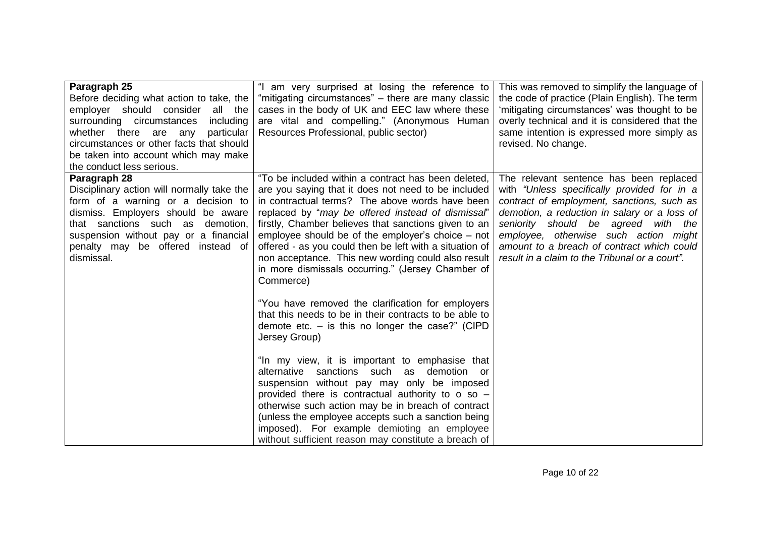| Paragraph 25                               | "I am very surprised at losing the reference to                                                 | This was removed to simplify the language of   |
|--------------------------------------------|-------------------------------------------------------------------------------------------------|------------------------------------------------|
| Before deciding what action to take, the   | "mitigating circumstances" – there are many classic                                             | the code of practice (Plain English). The term |
| employer should consider<br>all the        | cases in the body of UK and EEC law where these                                                 | 'mitigating circumstances' was thought to be   |
| surrounding circumstances<br>including     | are vital and compelling." (Anonymous Human                                                     | overly technical and it is considered that the |
| particular<br>whether there are any        | Resources Professional, public sector)                                                          | same intention is expressed more simply as     |
| circumstances or other facts that should   |                                                                                                 | revised. No change.                            |
| be taken into account which may make       |                                                                                                 |                                                |
| the conduct less serious.                  |                                                                                                 |                                                |
| Paragraph 28                               | "To be included within a contract has been deleted,                                             | The relevant sentence has been replaced        |
| Disciplinary action will normally take the | are you saying that it does not need to be included                                             | with "Unless specifically provided for in a    |
| form of a warning or a decision to         | in contractual terms? The above words have been                                                 | contract of employment, sanctions, such as     |
| dismiss. Employers should be aware         | replaced by "may be offered instead of dismissal"                                               | demotion, a reduction in salary or a loss of   |
| that sanctions such as demotion,           | firstly, Chamber believes that sanctions given to an                                            | seniority should be agreed with the            |
| suspension without pay or a financial      | employee should be of the employer's choice – not                                               | employee, otherwise such action might          |
| penalty may be offered instead of          | offered - as you could then be left with a situation of                                         | amount to a breach of contract which could     |
| dismissal.                                 | non acceptance. This new wording could also result                                              | result in a claim to the Tribunal or a court". |
|                                            | in more dismissals occurring." (Jersey Chamber of                                               |                                                |
|                                            | Commerce)                                                                                       |                                                |
|                                            |                                                                                                 |                                                |
|                                            | "You have removed the clarification for employers                                               |                                                |
|                                            | that this needs to be in their contracts to be able to                                          |                                                |
|                                            | demote etc. $-$ is this no longer the case?" (CIPD                                              |                                                |
|                                            | Jersey Group)                                                                                   |                                                |
|                                            |                                                                                                 |                                                |
|                                            | "In my view, it is important to emphasise that                                                  |                                                |
|                                            | alternative sanctions such as demotion or                                                       |                                                |
|                                            | suspension without pay may only be imposed<br>provided there is contractual authority to o so - |                                                |
|                                            | otherwise such action may be in breach of contract                                              |                                                |
|                                            | (unless the employee accepts such a sanction being                                              |                                                |
|                                            | imposed). For example demioting an employee                                                     |                                                |
|                                            | without sufficient reason may constitute a breach of                                            |                                                |
|                                            |                                                                                                 |                                                |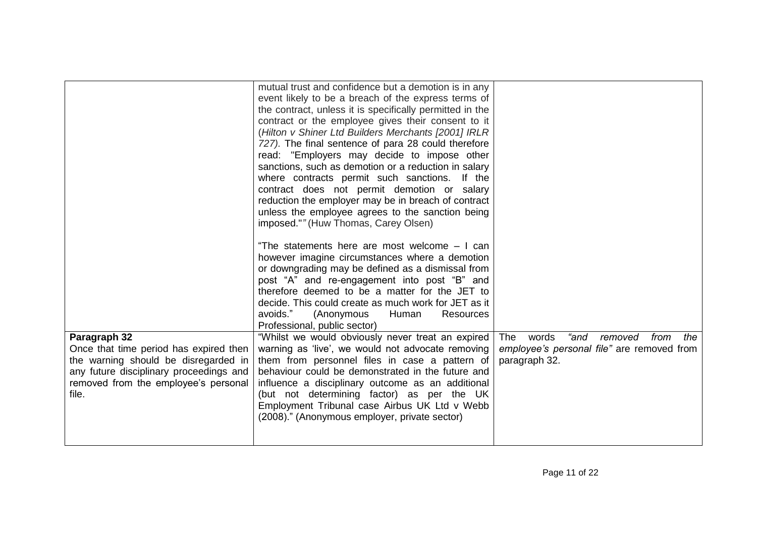|                                                                                                                                                                                            | mutual trust and confidence but a demotion is in any<br>event likely to be a breach of the express terms of<br>the contract, unless it is specifically permitted in the<br>contract or the employee gives their consent to it<br>(Hilton v Shiner Ltd Builders Merchants [2001] IRLR<br>727). The final sentence of para 28 could therefore<br>read: "Employers may decide to impose other<br>sanctions, such as demotion or a reduction in salary<br>where contracts permit such sanctions. If the<br>contract does not permit demotion or salary<br>reduction the employer may be in breach of contract<br>unless the employee agrees to the sanction being<br>imposed."" (Huw Thomas, Carey Olsen)<br>"The statements here are most welcome - I can<br>however imagine circumstances where a demotion<br>or downgrading may be defined as a dismissal from<br>post "A" and re-engagement into post "B" and<br>therefore deemed to be a matter for the JET to<br>decide. This could create as much work for JET as it<br>avoids."<br>(Anonymous<br>Human<br>Resources<br>Professional, public sector) |                                                                                                                      |
|--------------------------------------------------------------------------------------------------------------------------------------------------------------------------------------------|---------------------------------------------------------------------------------------------------------------------------------------------------------------------------------------------------------------------------------------------------------------------------------------------------------------------------------------------------------------------------------------------------------------------------------------------------------------------------------------------------------------------------------------------------------------------------------------------------------------------------------------------------------------------------------------------------------------------------------------------------------------------------------------------------------------------------------------------------------------------------------------------------------------------------------------------------------------------------------------------------------------------------------------------------------------------------------------------------------|----------------------------------------------------------------------------------------------------------------------|
| Paragraph 32<br>Once that time period has expired then<br>the warning should be disregarded in<br>any future disciplinary proceedings and<br>removed from the employee's personal<br>file. | "Whilst we would obviously never treat an expired<br>warning as 'live', we would not advocate removing<br>them from personnel files in case a pattern of<br>behaviour could be demonstrated in the future and<br>influence a disciplinary outcome as an additional<br>(but not determining factor) as per the UK<br>Employment Tribunal case Airbus UK Ltd v Webb<br>(2008)." (Anonymous employer, private sector)                                                                                                                                                                                                                                                                                                                                                                                                                                                                                                                                                                                                                                                                                      | "and<br><b>The</b><br>words<br>removed<br>from<br>the<br>employee's personal file" are removed from<br>paragraph 32. |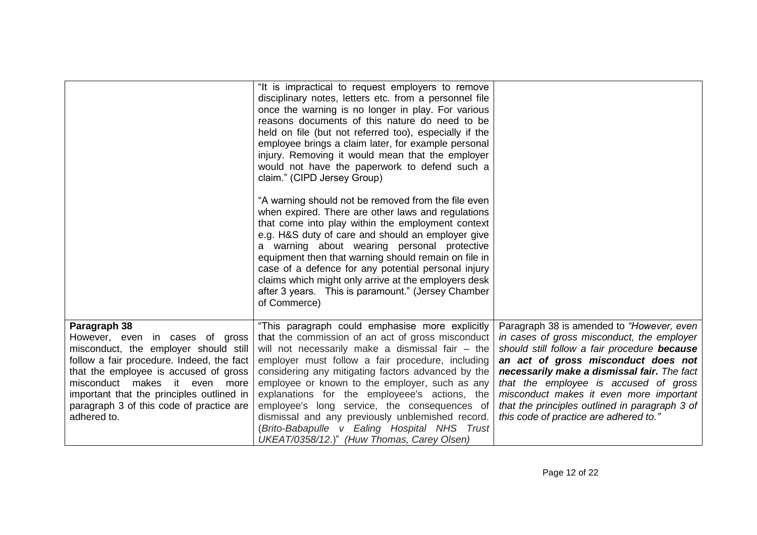|                                                                                       | "It is impractical to request employers to remove<br>disciplinary notes, letters etc. from a personnel file<br>once the warning is no longer in play. For various<br>reasons documents of this nature do need to be<br>held on file (but not referred too), especially if the<br>employee brings a claim later, for example personal<br>injury. Removing it would mean that the employer<br>would not have the paperwork to defend such a<br>claim." (CIPD Jersey Group)<br>"A warning should not be removed from the file even<br>when expired. There are other laws and regulations<br>that come into play within the employment context<br>e.g. H&S duty of care and should an employer give<br>a warning about wearing personal protective<br>equipment then that warning should remain on file in<br>case of a defence for any potential personal injury<br>claims which might only arrive at the employers desk<br>after 3 years. This is paramount." (Jersey Chamber<br>of Commerce) |                                                                                           |
|---------------------------------------------------------------------------------------|---------------------------------------------------------------------------------------------------------------------------------------------------------------------------------------------------------------------------------------------------------------------------------------------------------------------------------------------------------------------------------------------------------------------------------------------------------------------------------------------------------------------------------------------------------------------------------------------------------------------------------------------------------------------------------------------------------------------------------------------------------------------------------------------------------------------------------------------------------------------------------------------------------------------------------------------------------------------------------------------|-------------------------------------------------------------------------------------------|
| Paragraph 38<br>However, even in cases of gross                                       | "This paragraph could emphasise more explicitly<br>that the commission of an act of gross misconduct                                                                                                                                                                                                                                                                                                                                                                                                                                                                                                                                                                                                                                                                                                                                                                                                                                                                                        | Paragraph 38 is amended to "However, even<br>in cases of gross misconduct, the employer   |
| misconduct, the employer should still<br>follow a fair procedure. Indeed, the fact    | will not necessarily make a dismissal fair - the<br>employer must follow a fair procedure, including                                                                                                                                                                                                                                                                                                                                                                                                                                                                                                                                                                                                                                                                                                                                                                                                                                                                                        | should still follow a fair procedure because<br>an act of gross misconduct does not       |
| that the employee is accused of gross                                                 | considering any mitigating factors advanced by the                                                                                                                                                                                                                                                                                                                                                                                                                                                                                                                                                                                                                                                                                                                                                                                                                                                                                                                                          | necessarily make a dismissal fair. The fact                                               |
| misconduct makes it even more                                                         | employee or known to the employer, such as any                                                                                                                                                                                                                                                                                                                                                                                                                                                                                                                                                                                                                                                                                                                                                                                                                                                                                                                                              | that the employee is accused of gross                                                     |
| important that the principles outlined in<br>paragraph 3 of this code of practice are | explanations for the employeee's actions, the<br>employee's long service, the consequences of                                                                                                                                                                                                                                                                                                                                                                                                                                                                                                                                                                                                                                                                                                                                                                                                                                                                                               | misconduct makes it even more important<br>that the principles outlined in paragraph 3 of |
| adhered to.                                                                           | dismissal and any previously unblemished record.                                                                                                                                                                                                                                                                                                                                                                                                                                                                                                                                                                                                                                                                                                                                                                                                                                                                                                                                            | this code of practice are adhered to."                                                    |
|                                                                                       | (Brito-Babapulle v Ealing Hospital NHS Trust                                                                                                                                                                                                                                                                                                                                                                                                                                                                                                                                                                                                                                                                                                                                                                                                                                                                                                                                                |                                                                                           |
|                                                                                       | UKEAT/0358/12.)" (Huw Thomas, Carey Olsen)                                                                                                                                                                                                                                                                                                                                                                                                                                                                                                                                                                                                                                                                                                                                                                                                                                                                                                                                                  |                                                                                           |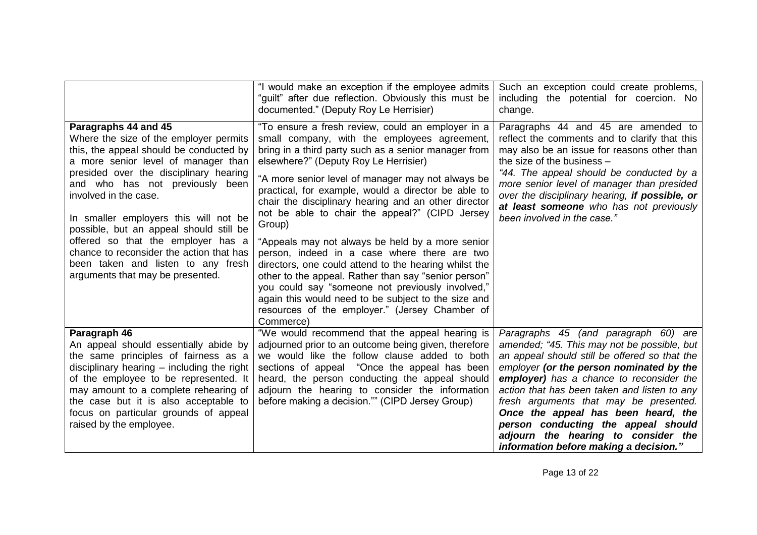|                                                                                                                                                                                                                                                                                                                                                                                                                                                                                                        | "I would make an exception if the employee admits<br>"guilt" after due reflection. Obviously this must be<br>documented." (Deputy Roy Le Herrisier)                                                                                                                                                                                                                                                                                                                                                                                                                                                                                                                                                                                                                                                                               | Such an exception could create problems,<br>including the potential for coercion. No<br>change.                                                                                                                                                                                                                                                                                                                                                                                       |
|--------------------------------------------------------------------------------------------------------------------------------------------------------------------------------------------------------------------------------------------------------------------------------------------------------------------------------------------------------------------------------------------------------------------------------------------------------------------------------------------------------|-----------------------------------------------------------------------------------------------------------------------------------------------------------------------------------------------------------------------------------------------------------------------------------------------------------------------------------------------------------------------------------------------------------------------------------------------------------------------------------------------------------------------------------------------------------------------------------------------------------------------------------------------------------------------------------------------------------------------------------------------------------------------------------------------------------------------------------|---------------------------------------------------------------------------------------------------------------------------------------------------------------------------------------------------------------------------------------------------------------------------------------------------------------------------------------------------------------------------------------------------------------------------------------------------------------------------------------|
| Paragraphs 44 and 45<br>Where the size of the employer permits<br>this, the appeal should be conducted by<br>a more senior level of manager than<br>presided over the disciplinary hearing<br>and who has not previously been<br>involved in the case.<br>In smaller employers this will not be<br>possible, but an appeal should still be<br>offered so that the employer has a<br>chance to reconsider the action that has<br>been taken and listen to any fresh<br>arguments that may be presented. | "To ensure a fresh review, could an employer in a<br>small company, with the employees agreement,<br>bring in a third party such as a senior manager from<br>elsewhere?" (Deputy Roy Le Herrisier)<br>"A more senior level of manager may not always be<br>practical, for example, would a director be able to<br>chair the disciplinary hearing and an other director<br>not be able to chair the appeal?" (CIPD Jersey<br>Group)<br>"Appeals may not always be held by a more senior<br>person, indeed in a case where there are two<br>directors, one could attend to the hearing whilst the<br>other to the appeal. Rather than say "senior person"<br>you could say "someone not previously involved,"<br>again this would need to be subject to the size and<br>resources of the employer." (Jersey Chamber of<br>Commerce) | Paragraphs 44 and 45 are amended to<br>reflect the comments and to clarify that this<br>may also be an issue for reasons other than<br>the size of the business -<br>"44. The appeal should be conducted by a<br>more senior level of manager than presided<br>over the disciplinary hearing, if possible, or<br>at least someone who has not previously<br>been involved in the case."                                                                                               |
| Paragraph 46<br>An appeal should essentially abide by<br>the same principles of fairness as a<br>disciplinary hearing $-$ including the right<br>of the employee to be represented. It<br>may amount to a complete rehearing of<br>the case but it is also acceptable to<br>focus on particular grounds of appeal<br>raised by the employee.                                                                                                                                                           | "We would recommend that the appeal hearing is<br>adjourned prior to an outcome being given, therefore<br>we would like the follow clause added to both<br>sections of appeal "Once the appeal has been<br>heard, the person conducting the appeal should<br>adjourn the hearing to consider the information<br>before making a decision."" (CIPD Jersey Group)                                                                                                                                                                                                                                                                                                                                                                                                                                                                   | Paragraphs 45 (and paragraph 60) are<br>amended; "45. This may not be possible, but<br>an appeal should still be offered so that the<br>employer (or the person nominated by the<br>employer) has a chance to reconsider the<br>action that has been taken and listen to any<br>fresh arguments that may be presented.<br>Once the appeal has been heard, the<br>person conducting the appeal should<br>adjourn the hearing to consider the<br>information before making a decision." |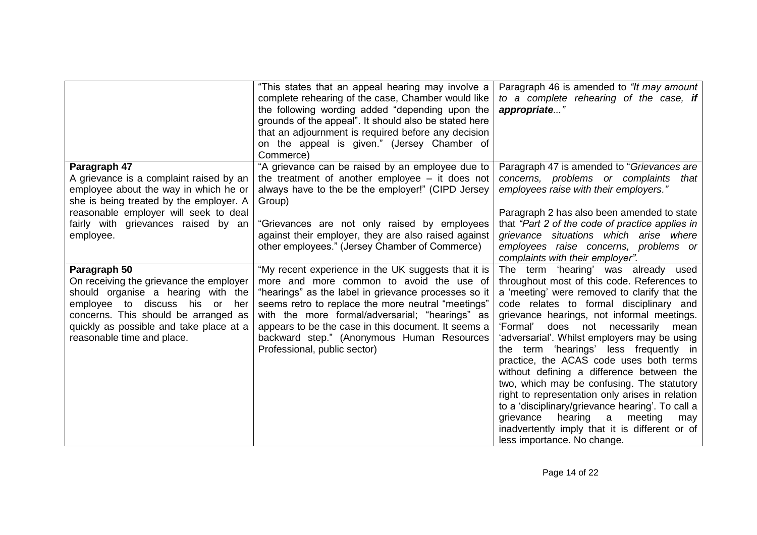|                                                                                                                                                                                                                                                  | "This states that an appeal hearing may involve a<br>complete rehearing of the case, Chamber would like<br>the following wording added "depending upon the<br>grounds of the appeal". It should also be stated here<br>that an adjournment is required before any decision<br>on the appeal is given." (Jersey Chamber of<br>Commerce)                                                                | Paragraph 46 is amended to "It may amount"<br>to a complete rehearing of the case, if<br>appropriate"                                                                                                                                                                                                                                                                                                                                                                                                                                                                                                                                                                                                                                             |
|--------------------------------------------------------------------------------------------------------------------------------------------------------------------------------------------------------------------------------------------------|-------------------------------------------------------------------------------------------------------------------------------------------------------------------------------------------------------------------------------------------------------------------------------------------------------------------------------------------------------------------------------------------------------|---------------------------------------------------------------------------------------------------------------------------------------------------------------------------------------------------------------------------------------------------------------------------------------------------------------------------------------------------------------------------------------------------------------------------------------------------------------------------------------------------------------------------------------------------------------------------------------------------------------------------------------------------------------------------------------------------------------------------------------------------|
| Paragraph 47<br>A grievance is a complaint raised by an<br>employee about the way in which he or<br>she is being treated by the employer. A<br>reasonable employer will seek to deal<br>fairly with grievances raised by an<br>employee.         | "A grievance can be raised by an employee due to<br>the treatment of another employee $-$ it does not<br>always have to the be the employer!" (CIPD Jersey<br>Group)<br>"Grievances are not only raised by employees<br>against their employer, they are also raised against<br>other employees." (Jersey Chamber of Commerce)                                                                        | Paragraph 47 is amended to "Grievances are<br>concerns, problems or complaints<br>that<br>employees raise with their employers."<br>Paragraph 2 has also been amended to state<br>that "Part 2 of the code of practice applies in<br>grievance situations which arise where<br>employees raise concerns, problems or<br>complaints with their employer".                                                                                                                                                                                                                                                                                                                                                                                          |
| Paragraph 50<br>On receiving the grievance the employer<br>should organise a hearing with the<br>employee to discuss his or her<br>concerns. This should be arranged as<br>quickly as possible and take place at a<br>reasonable time and place. | "My recent experience in the UK suggests that it is<br>more and more common to avoid the use of<br>"hearings" as the label in grievance processes so it<br>seems retro to replace the more neutral "meetings"<br>with the more formal/adversarial; "hearings" as<br>appears to be the case in this document. It seems a<br>backward step." (Anonymous Human Resources<br>Professional, public sector) | The term 'hearing' was already used<br>throughout most of this code. References to<br>a 'meeting' were removed to clarify that the<br>code relates to formal disciplinary and<br>grievance hearings, not informal meetings.<br>'Formal'<br>does not<br>necessarily<br>mean<br>'adversarial'. Whilst employers may be using<br>the term 'hearings' less frequently in<br>practice, the ACAS code uses both terms<br>without defining a difference between the<br>two, which may be confusing. The statutory<br>right to representation only arises in relation<br>to a 'disciplinary/grievance hearing'. To call a<br>grievance<br>hearing<br>meeting<br>a<br>may<br>inadvertently imply that it is different or of<br>less importance. No change. |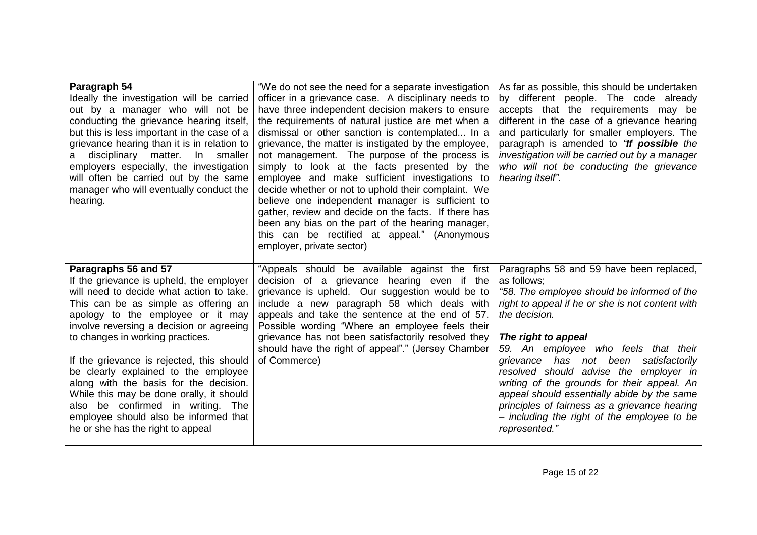| Paragraph 54<br>Ideally the investigation will be carried<br>out by a manager who will not be<br>conducting the grievance hearing itself,<br>but this is less important in the case of a<br>grievance hearing than it is in relation to<br>disciplinary matter. In smaller<br>a<br>employers especially, the investigation<br>will often be carried out by the same<br>manager who will eventually conduct the<br>hearing.                                                                                                                                              | "We do not see the need for a separate investigation<br>officer in a grievance case. A disciplinary needs to<br>have three independent decision makers to ensure<br>the requirements of natural justice are met when a<br>dismissal or other sanction is contemplated In a<br>grievance, the matter is instigated by the employee,<br>not management. The purpose of the process is<br>simply to look at the facts presented by the<br>employee and make sufficient investigations to<br>decide whether or not to uphold their complaint. We<br>believe one independent manager is sufficient to<br>gather, review and decide on the facts. If there has<br>been any bias on the part of the hearing manager,<br>this can be rectified at appeal." (Anonymous<br>employer, private sector) | As far as possible, this should be undertaken<br>by different people. The code already<br>accepts that the requirements may be<br>different in the case of a grievance hearing<br>and particularly for smaller employers. The<br>paragraph is amended to "If possible the<br>investigation will be carried out by a manager<br>who will not be conducting the grievance<br>hearing itself".                                                                                                                                                  |
|-------------------------------------------------------------------------------------------------------------------------------------------------------------------------------------------------------------------------------------------------------------------------------------------------------------------------------------------------------------------------------------------------------------------------------------------------------------------------------------------------------------------------------------------------------------------------|--------------------------------------------------------------------------------------------------------------------------------------------------------------------------------------------------------------------------------------------------------------------------------------------------------------------------------------------------------------------------------------------------------------------------------------------------------------------------------------------------------------------------------------------------------------------------------------------------------------------------------------------------------------------------------------------------------------------------------------------------------------------------------------------|----------------------------------------------------------------------------------------------------------------------------------------------------------------------------------------------------------------------------------------------------------------------------------------------------------------------------------------------------------------------------------------------------------------------------------------------------------------------------------------------------------------------------------------------|
| Paragraphs 56 and 57<br>If the grievance is upheld, the employer<br>will need to decide what action to take.<br>This can be as simple as offering an<br>apology to the employee or it may<br>involve reversing a decision or agreeing<br>to changes in working practices.<br>If the grievance is rejected, this should<br>be clearly explained to the employee<br>along with the basis for the decision.<br>While this may be done orally, it should<br>also be confirmed in writing. The<br>employee should also be informed that<br>he or she has the right to appeal | "Appeals should be available against the first<br>decision of a grievance hearing even if the<br>grievance is upheld. Our suggestion would be to<br>include a new paragraph 58 which deals with<br>appeals and take the sentence at the end of 57.<br>Possible wording "Where an employee feels their<br>grievance has not been satisfactorily resolved they<br>should have the right of appeal"." (Jersey Chamber<br>of Commerce)                                                                                                                                                                                                                                                                                                                                                         | Paragraphs 58 and 59 have been replaced,<br>as follows;<br>"58. The employee should be informed of the<br>right to appeal if he or she is not content with<br>the decision.<br>The right to appeal<br>59. An employee who feels that their<br>grievance has not been satisfactorily<br>resolved should advise the employer in<br>writing of the grounds for their appeal. An<br>appeal should essentially abide by the same<br>principles of fairness as a grievance hearing<br>- including the right of the employee to be<br>represented." |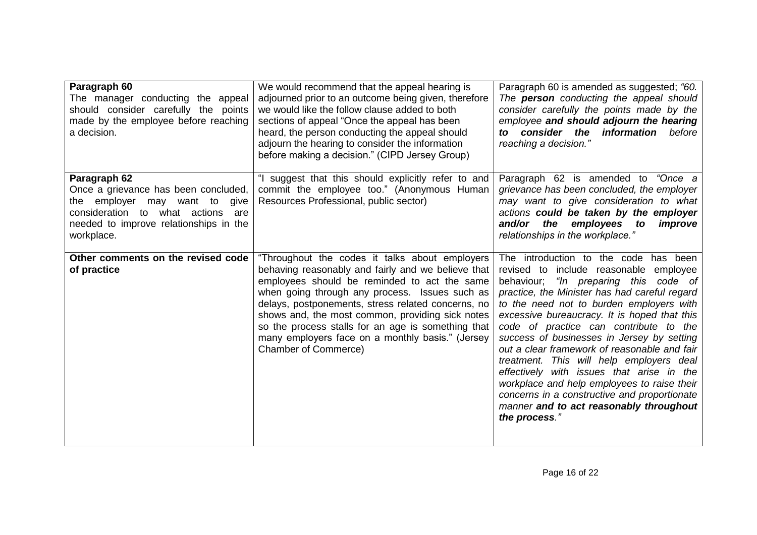| Paragraph 60<br>The manager conducting the appeal<br>should consider carefully the points<br>made by the employee before reaching<br>a decision.                                      | We would recommend that the appeal hearing is<br>adjourned prior to an outcome being given, therefore<br>we would like the follow clause added to both<br>sections of appeal "Once the appeal has been<br>heard, the person conducting the appeal should<br>adjourn the hearing to consider the information<br>before making a decision." (CIPD Jersey Group)                                                                                             | Paragraph 60 is amended as suggested; "60.<br>The <b>person</b> conducting the appeal should<br>consider carefully the points made by the<br>employee and should adjourn the hearing<br>to consider the information<br>before<br>reaching a decision."                                                                                                                                                                                                                                                                                                                                                                                                            |
|---------------------------------------------------------------------------------------------------------------------------------------------------------------------------------------|-----------------------------------------------------------------------------------------------------------------------------------------------------------------------------------------------------------------------------------------------------------------------------------------------------------------------------------------------------------------------------------------------------------------------------------------------------------|-------------------------------------------------------------------------------------------------------------------------------------------------------------------------------------------------------------------------------------------------------------------------------------------------------------------------------------------------------------------------------------------------------------------------------------------------------------------------------------------------------------------------------------------------------------------------------------------------------------------------------------------------------------------|
| Paragraph 62<br>Once a grievance has been concluded,<br>the employer may want to give<br>consideration to what actions<br>are<br>needed to improve relationships in the<br>workplace. | "I suggest that this should explicitly refer to and<br>commit the employee too." (Anonymous Human<br>Resources Professional, public sector)                                                                                                                                                                                                                                                                                                               | Paragraph 62 is amended to "Once a<br>grievance has been concluded, the employer<br>may want to give consideration to what<br>actions could be taken by the employer<br>and/or the<br>employees to<br>improve<br>relationships in the workplace."                                                                                                                                                                                                                                                                                                                                                                                                                 |
| Other comments on the revised code<br>of practice                                                                                                                                     | "Throughout the codes it talks about employers<br>behaving reasonably and fairly and we believe that<br>employees should be reminded to act the same<br>when going through any process. Issues such as<br>delays, postponements, stress related concerns, no<br>shows and, the most common, providing sick notes<br>so the process stalls for an age is something that<br>many employers face on a monthly basis." (Jersey<br><b>Chamber of Commerce)</b> | The introduction to the code has been<br>revised to include reasonable employee<br>behaviour; "In preparing this code of<br>practice, the Minister has had careful regard<br>to the need not to burden employers with<br>excessive bureaucracy. It is hoped that this<br>code of practice can contribute to the<br>success of businesses in Jersey by setting<br>out a clear framework of reasonable and fair<br>treatment. This will help employers deal<br>effectively with issues that arise in the<br>workplace and help employees to raise their<br>concerns in a constructive and proportionate<br>manner and to act reasonably throughout<br>the process." |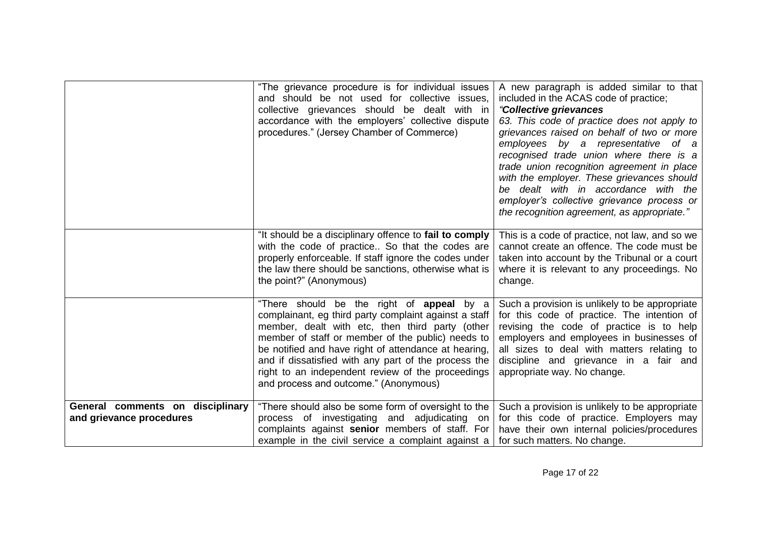|                                                              | "The grievance procedure is for individual issues<br>and should be not used for collective issues.<br>collective grievances should be dealt with in<br>accordance with the employers' collective dispute<br>procedures." (Jersey Chamber of Commerce)                                                                                                                                                                           | A new paragraph is added similar to that<br>included in the ACAS code of practice;<br>"Collective grievances<br>63. This code of practice does not apply to<br>grievances raised on behalf of two or more<br>employees by a representative of a<br>recognised trade union where there is a<br>trade union recognition agreement in place<br>with the employer. These grievances should<br>be dealt with in accordance with the<br>employer's collective grievance process or<br>the recognition agreement, as appropriate." |
|--------------------------------------------------------------|---------------------------------------------------------------------------------------------------------------------------------------------------------------------------------------------------------------------------------------------------------------------------------------------------------------------------------------------------------------------------------------------------------------------------------|-----------------------------------------------------------------------------------------------------------------------------------------------------------------------------------------------------------------------------------------------------------------------------------------------------------------------------------------------------------------------------------------------------------------------------------------------------------------------------------------------------------------------------|
|                                                              | "It should be a disciplinary offence to fail to comply<br>with the code of practice So that the codes are<br>properly enforceable. If staff ignore the codes under<br>the law there should be sanctions, otherwise what is<br>the point?" (Anonymous)                                                                                                                                                                           | This is a code of practice, not law, and so we<br>cannot create an offence. The code must be<br>taken into account by the Tribunal or a court<br>where it is relevant to any proceedings. No<br>change.                                                                                                                                                                                                                                                                                                                     |
|                                                              | "There should be the right of <b>appeal</b> by a<br>complainant, eg third party complaint against a staff<br>member, dealt with etc, then third party (other<br>member of staff or member of the public) needs to<br>be notified and have right of attendance at hearing,<br>and if dissatisfied with any part of the process the<br>right to an independent review of the proceedings<br>and process and outcome." (Anonymous) | Such a provision is unlikely to be appropriate<br>for this code of practice. The intention of<br>revising the code of practice is to help<br>employers and employees in businesses of<br>all sizes to deal with matters relating to<br>discipline and grievance in a fair and<br>appropriate way. No change.                                                                                                                                                                                                                |
| General comments on disciplinary<br>and grievance procedures | "There should also be some form of oversight to the<br>process of investigating and adjudicating on<br>complaints against senior members of staff. For<br>example in the civil service a complaint against a                                                                                                                                                                                                                    | Such a provision is unlikely to be appropriate<br>for this code of practice. Employers may<br>have their own internal policies/procedures<br>for such matters. No change.                                                                                                                                                                                                                                                                                                                                                   |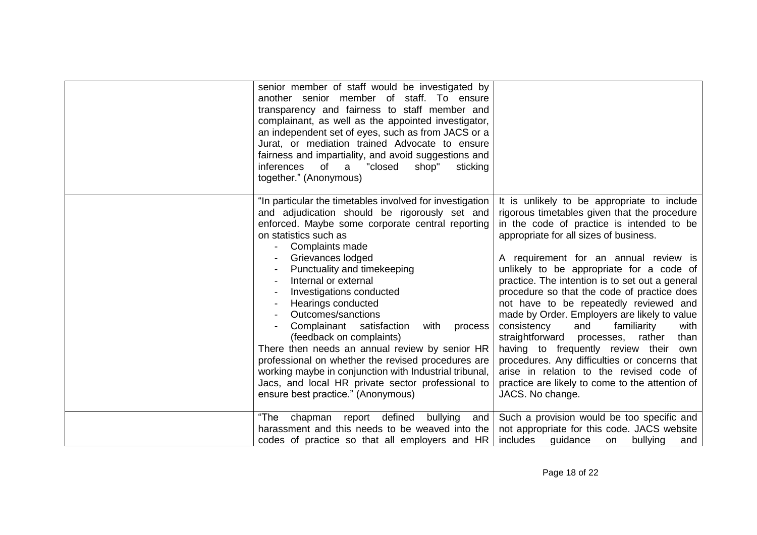| senior member of staff would be investigated by<br>another senior member of staff. To ensure<br>transparency and fairness to staff member and<br>complainant, as well as the appointed investigator,<br>an independent set of eyes, such as from JACS or a<br>Jurat, or mediation trained Advocate to ensure<br>fairness and impartiality, and avoid suggestions and<br>inferences<br>"closed<br>shop"<br>of<br>a<br>sticking<br>together." (Anonymous)                                                                                                                                                                                                                                               |                                                                                                                                                                                                                                                                                                                                                                                                                                                                                                                                                                                                                                                                                                                                                                                     |
|-------------------------------------------------------------------------------------------------------------------------------------------------------------------------------------------------------------------------------------------------------------------------------------------------------------------------------------------------------------------------------------------------------------------------------------------------------------------------------------------------------------------------------------------------------------------------------------------------------------------------------------------------------------------------------------------------------|-------------------------------------------------------------------------------------------------------------------------------------------------------------------------------------------------------------------------------------------------------------------------------------------------------------------------------------------------------------------------------------------------------------------------------------------------------------------------------------------------------------------------------------------------------------------------------------------------------------------------------------------------------------------------------------------------------------------------------------------------------------------------------------|
| "In particular the timetables involved for investigation<br>and adjudication should be rigorously set and<br>enforced. Maybe some corporate central reporting<br>on statistics such as<br>Complaints made<br>Grievances lodged<br>Punctuality and timekeeping<br>Internal or external<br>Investigations conducted<br>Hearings conducted<br>Outcomes/sanctions<br>Complainant satisfaction<br>with<br>process<br>(feedback on complaints)<br>There then needs an annual review by senior HR<br>professional on whether the revised procedures are<br>working maybe in conjunction with Industrial tribunal,<br>Jacs, and local HR private sector professional to<br>ensure best practice." (Anonymous) | It is unlikely to be appropriate to include<br>rigorous timetables given that the procedure<br>in the code of practice is intended to be<br>appropriate for all sizes of business.<br>A requirement for an annual review is<br>unlikely to be appropriate for a code of<br>practice. The intention is to set out a general<br>procedure so that the code of practice does<br>not have to be repeatedly reviewed and<br>made by Order. Employers are likely to value<br>consistency<br>and<br>familiarity<br>with<br>straightforward<br>rather<br>than<br>processes,<br>having to frequently review their<br>own<br>procedures. Any difficulties or concerns that<br>arise in relation to the revised code of<br>practice are likely to come to the attention of<br>JACS. No change. |
| chapman report defined<br>bullying<br>"The<br>and<br>harassment and this needs to be weaved into the<br>codes of practice so that all employers and HR                                                                                                                                                                                                                                                                                                                                                                                                                                                                                                                                                | Such a provision would be too specific and<br>not appropriate for this code. JACS website<br>includes<br>guidance<br>bullying<br>on<br>and                                                                                                                                                                                                                                                                                                                                                                                                                                                                                                                                                                                                                                          |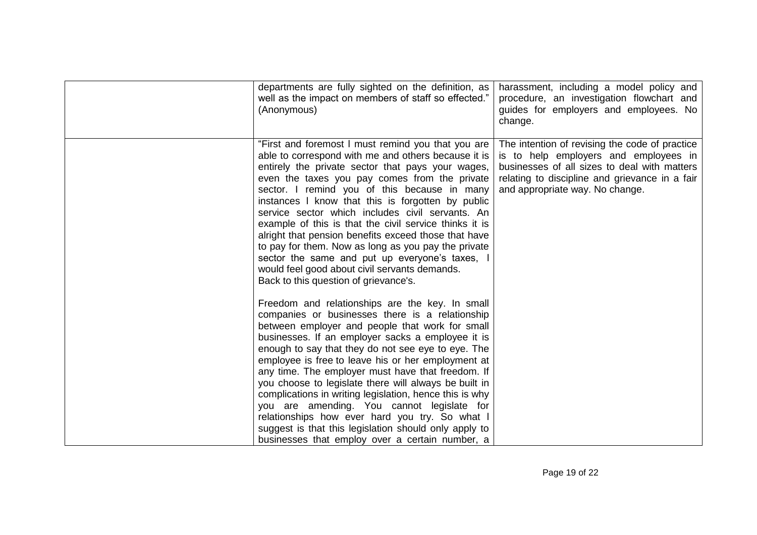| departments are fully sighted on the definition, as<br>well as the impact on members of staff so effected."<br>(Anonymous)                                                                                                                                                                                                                                                                                                                                                                                                                                                                                                                                                                                                                                                                                                                                                                                                                                                                                                                                                                                                                                                                                                                                                                     | harassment, including a model policy and<br>procedure, an investigation flowchart and<br>guides for employers and employees. No<br>change.                                                                                   |
|------------------------------------------------------------------------------------------------------------------------------------------------------------------------------------------------------------------------------------------------------------------------------------------------------------------------------------------------------------------------------------------------------------------------------------------------------------------------------------------------------------------------------------------------------------------------------------------------------------------------------------------------------------------------------------------------------------------------------------------------------------------------------------------------------------------------------------------------------------------------------------------------------------------------------------------------------------------------------------------------------------------------------------------------------------------------------------------------------------------------------------------------------------------------------------------------------------------------------------------------------------------------------------------------|------------------------------------------------------------------------------------------------------------------------------------------------------------------------------------------------------------------------------|
| "First and foremost I must remind you that you are<br>able to correspond with me and others because it is<br>entirely the private sector that pays your wages,<br>even the taxes you pay comes from the private<br>sector. I remind you of this because in many<br>instances I know that this is forgotten by public<br>service sector which includes civil servants. An<br>example of this is that the civil service thinks it is<br>alright that pension benefits exceed those that have<br>to pay for them. Now as long as you pay the private<br>sector the same and put up everyone's taxes,<br>would feel good about civil servants demands.<br>Back to this question of grievance's.<br>Freedom and relationships are the key. In small<br>companies or businesses there is a relationship<br>between employer and people that work for small<br>businesses. If an employer sacks a employee it is<br>enough to say that they do not see eye to eye. The<br>employee is free to leave his or her employment at<br>any time. The employer must have that freedom. If<br>you choose to legislate there will always be built in<br>complications in writing legislation, hence this is why<br>you are amending. You cannot legislate for<br>relationships how ever hard you try. So what I | The intention of revising the code of practice<br>is to help employers and employees in<br>businesses of all sizes to deal with matters<br>relating to discipline and grievance in a fair<br>and appropriate way. No change. |
| suggest is that this legislation should only apply to<br>businesses that employ over a certain number, a                                                                                                                                                                                                                                                                                                                                                                                                                                                                                                                                                                                                                                                                                                                                                                                                                                                                                                                                                                                                                                                                                                                                                                                       |                                                                                                                                                                                                                              |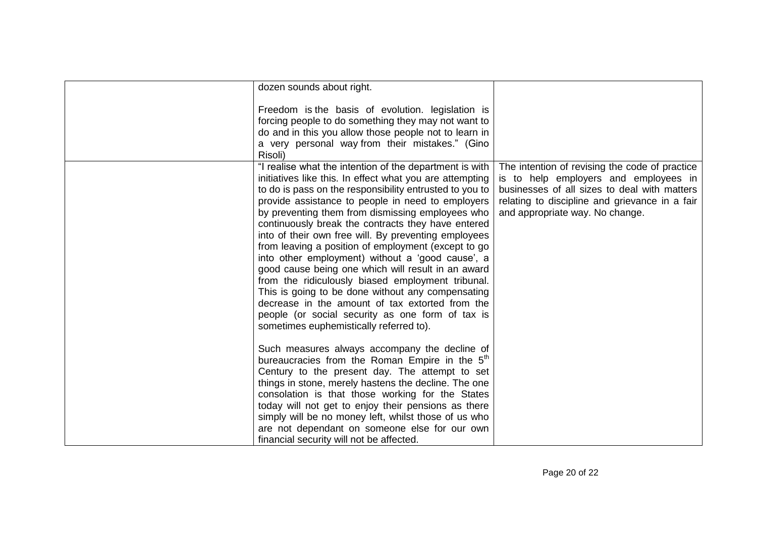|         | dozen sounds about right.<br>Freedom is the basis of evolution. legislation is                                                                                                                                                                                                                                                                                                                                                                                                                                                                                                                                                                                                                                                                                                                                                                                                                                                                    |                                                                                                                                                                                                                              |
|---------|---------------------------------------------------------------------------------------------------------------------------------------------------------------------------------------------------------------------------------------------------------------------------------------------------------------------------------------------------------------------------------------------------------------------------------------------------------------------------------------------------------------------------------------------------------------------------------------------------------------------------------------------------------------------------------------------------------------------------------------------------------------------------------------------------------------------------------------------------------------------------------------------------------------------------------------------------|------------------------------------------------------------------------------------------------------------------------------------------------------------------------------------------------------------------------------|
|         |                                                                                                                                                                                                                                                                                                                                                                                                                                                                                                                                                                                                                                                                                                                                                                                                                                                                                                                                                   |                                                                                                                                                                                                                              |
| Risoli) | forcing people to do something they may not want to<br>do and in this you allow those people not to learn in<br>a very personal way from their mistakes." (Gino                                                                                                                                                                                                                                                                                                                                                                                                                                                                                                                                                                                                                                                                                                                                                                                   |                                                                                                                                                                                                                              |
|         | "I realise what the intention of the department is with<br>initiatives like this. In effect what you are attempting<br>to do is pass on the responsibility entrusted to you to<br>provide assistance to people in need to employers<br>by preventing them from dismissing employees who<br>continuously break the contracts they have entered<br>into of their own free will. By preventing employees<br>from leaving a position of employment (except to go<br>into other employment) without a 'good cause', a<br>good cause being one which will result in an award<br>from the ridiculously biased employment tribunal.<br>This is going to be done without any compensating<br>decrease in the amount of tax extorted from the<br>people (or social security as one form of tax is<br>sometimes euphemistically referred to).<br>Such measures always accompany the decline of<br>bureaucracies from the Roman Empire in the 5 <sup>th</sup> | The intention of revising the code of practice<br>is to help employers and employees in<br>businesses of all sizes to deal with matters<br>relating to discipline and grievance in a fair<br>and appropriate way. No change. |
|         | Century to the present day. The attempt to set<br>things in stone, merely hastens the decline. The one<br>consolation is that those working for the States<br>today will not get to enjoy their pensions as there<br>simply will be no money left, whilst those of us who<br>are not dependant on someone else for our own<br>financial security will not be affected.                                                                                                                                                                                                                                                                                                                                                                                                                                                                                                                                                                            |                                                                                                                                                                                                                              |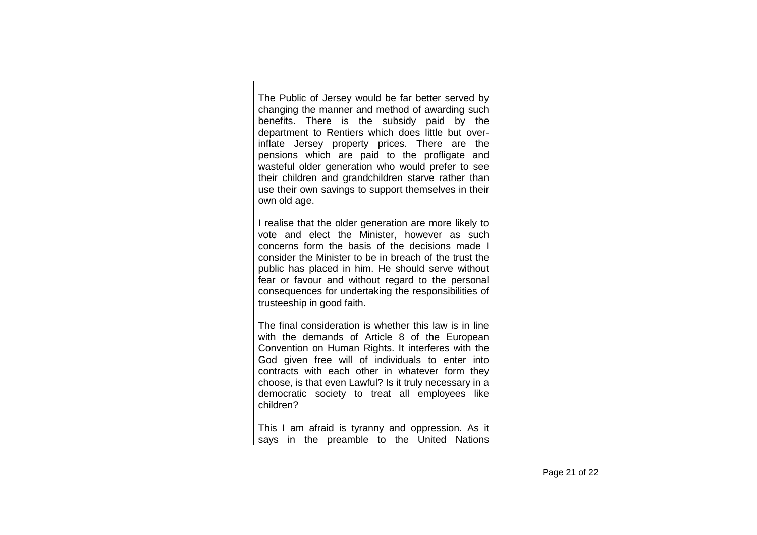| The Public of Jersey would be far better served by<br>changing the manner and method of awarding such<br>benefits. There is the subsidy paid by the<br>department to Rentiers which does little but over-<br>inflate Jersey property prices. There are the<br>pensions which are paid to the profligate and<br>wasteful older generation who would prefer to see<br>their children and grandchildren starve rather than<br>use their own savings to support themselves in their<br>own old age. |  |
|-------------------------------------------------------------------------------------------------------------------------------------------------------------------------------------------------------------------------------------------------------------------------------------------------------------------------------------------------------------------------------------------------------------------------------------------------------------------------------------------------|--|
| I realise that the older generation are more likely to<br>vote and elect the Minister, however as such<br>concerns form the basis of the decisions made I<br>consider the Minister to be in breach of the trust the<br>public has placed in him. He should serve without<br>fear or favour and without regard to the personal<br>consequences for undertaking the responsibilities of<br>trusteeship in good faith.                                                                             |  |
| The final consideration is whether this law is in line<br>with the demands of Article 8 of the European<br>Convention on Human Rights. It interferes with the<br>God given free will of individuals to enter into<br>contracts with each other in whatever form they<br>choose, is that even Lawful? Is it truly necessary in a<br>democratic society to treat all employees like<br>children?                                                                                                  |  |
| This I am afraid is tyranny and oppression. As it<br>says in the preamble to the United Nations                                                                                                                                                                                                                                                                                                                                                                                                 |  |